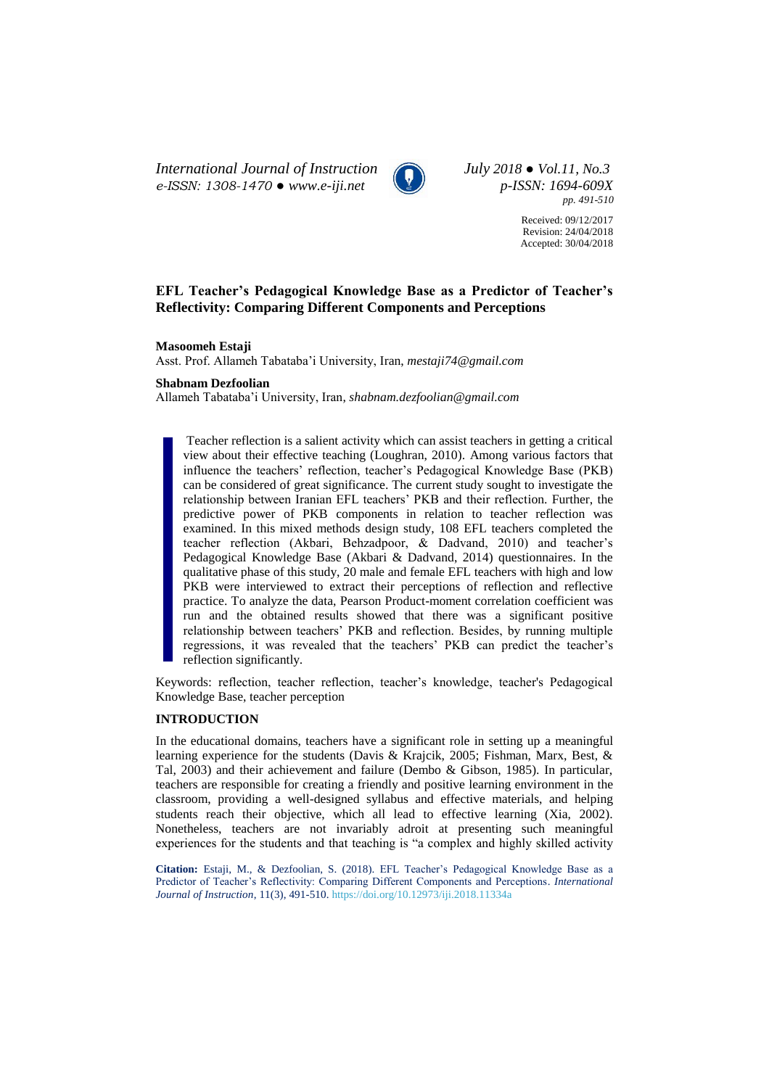*International Journal of Instruction July 2018 ● Vol.11, No.3 e-ISSN: 1308-1470 ● [www.e-iji.net](http://www.e-iji.net/) p-ISSN: 1694-609X*



*pp. 491-510*

Received: 09/12/2017 Revision: 24/04/2018 Accepted: 30/04/2018

# **EFL Teacher's Pedagogical Knowledge Base as a Predictor of Teacher's Reflectivity: Comparing Different Components and Perceptions**

### **Masoomeh Estaji**

Asst. Prof. Allameh Tabataba'i University, Iran, *mestaji74@gmail.com*

#### **Shabnam Dezfoolian**

Allameh Tabataba'i University, Iran, *shabnam.dezfoolian@gmail.com*

Teacher reflection is a salient activity which can assist teachers in getting a critical view about their effective teaching (Loughran, 2010). Among various factors that influence the teachers' reflection, teacher's Pedagogical Knowledge Base (PKB) can be considered of great significance. The current study sought to investigate the relationship between Iranian EFL teachers' PKB and their reflection. Further, the predictive power of PKB components in relation to teacher reflection was examined. In this mixed methods design study, 108 EFL teachers completed the teacher reflection (Akbari, Behzadpoor, & Dadvand, 2010) and teacher's Pedagogical Knowledge Base (Akbari & Dadvand, 2014) questionnaires. In the qualitative phase of this study, 20 male and female EFL teachers with high and low PKB were interviewed to extract their perceptions of reflection and reflective practice. To analyze the data, Pearson Product-moment correlation coefficient was run and the obtained results showed that there was a significant positive relationship between teachers' PKB and reflection. Besides, by running multiple regressions, it was revealed that the teachers' PKB can predict the teacher's reflection significantly.

Keywords: reflection, teacher reflection, teacher's knowledge, teacher's Pedagogical Knowledge Base, teacher perception

## **INTRODUCTION**

In the educational domains, teachers have a significant role in setting up a meaningful learning experience for the students (Davis & Krajcik, 2005; Fishman, Marx, Best, & Tal, 2003) and their achievement and failure (Dembo & Gibson, 1985). In particular, teachers are responsible for creating a friendly and positive learning environment in the classroom, providing a well-designed syllabus and effective materials, and helping students reach their objective, which all lead to effective learning (Xia, 2002). Nonetheless, teachers are not invariably adroit at presenting such meaningful experiences for the students and that teaching is "a complex and highly skilled activity

**Citation:** Estaji, M., & Dezfoolian, S. (2018). EFL Teacher's Pedagogical Knowledge Base as a Predictor of Teacher's Reflectivity: Comparing Different Components and Perceptions. *International Journal of Instruction*, 11(3), 491-510. <https://doi.org/10.12973/iji.2018.11334a>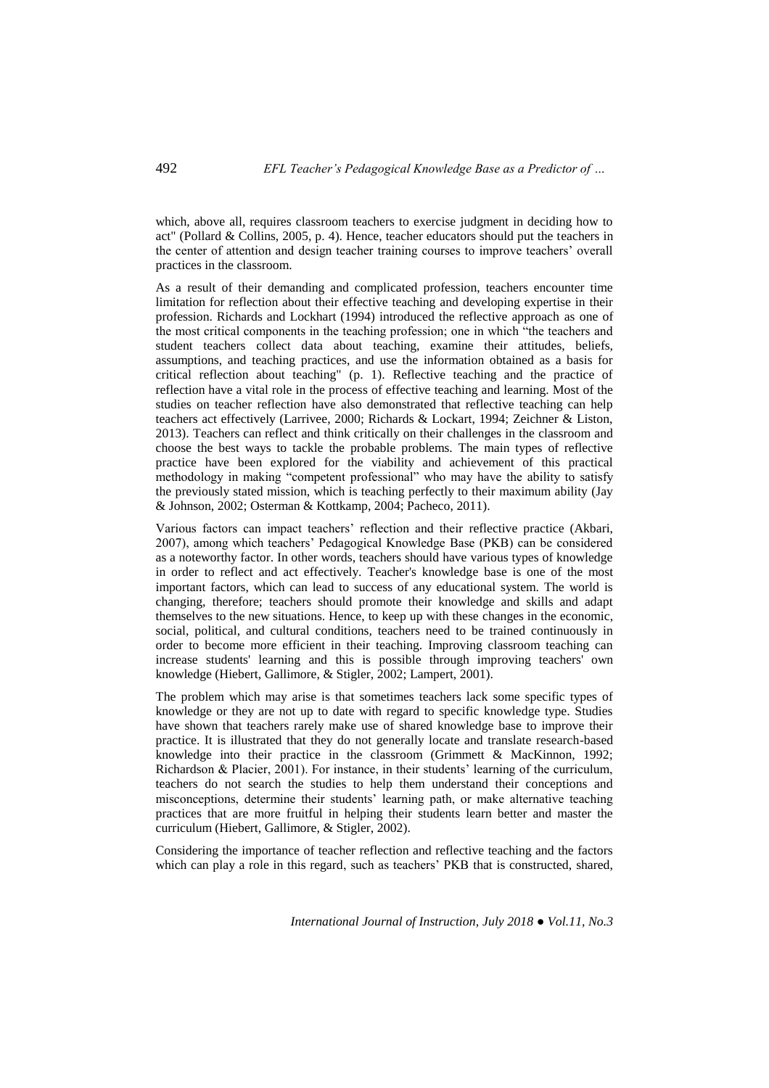which, above all, requires classroom teachers to exercise judgment in deciding how to act" (Pollard & Collins, 2005, p. 4). Hence, teacher educators should put the teachers in the center of attention and design teacher training courses to improve teachers' overall practices in the classroom.

As a result of their demanding and complicated profession, teachers encounter time limitation for reflection about their effective teaching and developing expertise in their profession. Richards and Lockhart (1994) introduced the reflective approach as one of the most critical components in the teaching profession; one in which "the teachers and student teachers collect data about teaching, examine their attitudes, beliefs, assumptions, and teaching practices, and use the information obtained as a basis for critical reflection about teaching" (p. 1). Reflective teaching and the practice of reflection have a vital role in the process of effective teaching and learning. Most of the studies on teacher reflection have also demonstrated that reflective teaching can help teachers act effectively (Larrivee, 2000; Richards & Lockart, 1994; Zeichner & Liston, 2013). Teachers can reflect and think critically on their challenges in the classroom and choose the best ways to tackle the probable problems. The main types of reflective practice have been explored for the viability and achievement of this practical methodology in making "competent professional" who may have the ability to satisfy the previously stated mission, which is teaching perfectly to their maximum ability (Jay & Johnson, 2002; Osterman & Kottkamp, 2004; Pacheco, 2011).

Various factors can impact teachers' reflection and their reflective practice (Akbari, 2007), among which teachers' Pedagogical Knowledge Base (PKB) can be considered as a noteworthy factor. In other words, teachers should have various types of knowledge in order to reflect and act effectively. Teacher's knowledge base is one of the most important factors, which can lead to success of any educational system. The world is changing, therefore; teachers should promote their knowledge and skills and adapt themselves to the new situations. Hence, to keep up with these changes in the economic, social, political, and cultural conditions, teachers need to be trained continuously in order to become more efficient in their teaching. Improving classroom teaching can increase students' learning and this is possible through improving teachers' own knowledge (Hiebert, Gallimore, & Stigler, 2002; Lampert, 2001).

The problem which may arise is that sometimes teachers lack some specific types of knowledge or they are not up to date with regard to specific knowledge type. Studies have shown that teachers rarely make use of shared knowledge base to improve their practice. It is illustrated that they do not generally locate and translate research-based knowledge into their practice in the classroom (Grimmett & MacKinnon, 1992; Richardson & Placier, 2001). For instance, in their students' learning of the curriculum, teachers do not search the studies to help them understand their conceptions and misconceptions, determine their students' learning path, or make alternative teaching practices that are more fruitful in helping their students learn better and master the curriculum (Hiebert, Gallimore, & Stigler, 2002).

Considering the importance of teacher reflection and reflective teaching and the factors which can play a role in this regard, such as teachers' PKB that is constructed, shared,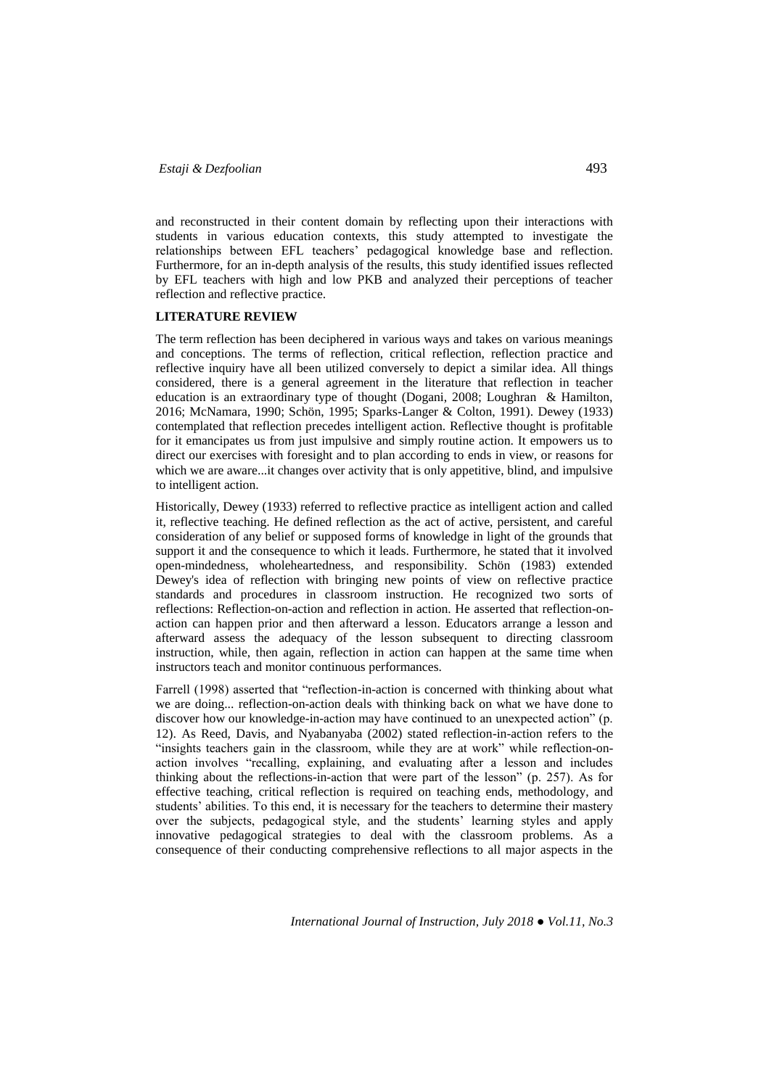and reconstructed in their content domain by reflecting upon their interactions with students in various education contexts, this study attempted to investigate the relationships between EFL teachers' pedagogical knowledge base and reflection. Furthermore, for an in-depth analysis of the results, this study identified issues reflected by EFL teachers with high and low PKB and analyzed their perceptions of teacher reflection and reflective practice.

### **LITERATURE REVIEW**

The term reflection has been deciphered in various ways and takes on various meanings and conceptions. The terms of reflection, critical reflection, reflection practice and reflective inquiry have all been utilized conversely to depict a similar idea. All things considered, there is a general agreement in the literature that reflection in teacher education is an extraordinary type of thought (Dogani, 2008; Loughran & Hamilton, 2016; McNamara, 1990; Schön, 1995; Sparks-Langer & Colton, 1991). Dewey (1933) contemplated that reflection precedes intelligent action. Reflective thought is profitable for it emancipates us from just impulsive and simply routine action. It empowers us to direct our exercises with foresight and to plan according to ends in view, or reasons for which we are aware...it changes over activity that is only appetitive, blind, and impulsive to intelligent action.

Historically, Dewey (1933) referred to reflective practice as intelligent action and called it, reflective teaching. He defined reflection as the act of active, persistent, and careful consideration of any belief or supposed forms of knowledge in light of the grounds that support it and the consequence to which it leads. Furthermore, he stated that it involved open-mindedness, wholeheartedness, and responsibility. Schön (1983) extended Dewey's idea of reflection with bringing new points of view on reflective practice standards and procedures in classroom instruction. He recognized two sorts of reflections: Reflection-on-action and reflection in action. He asserted that reflection-onaction can happen prior and then afterward a lesson. Educators arrange a lesson and afterward assess the adequacy of the lesson subsequent to directing classroom instruction, while, then again, reflection in action can happen at the same time when instructors teach and monitor continuous performances.

Farrell (1998) asserted that "reflection-in-action is concerned with thinking about what we are doing... reflection-on-action deals with thinking back on what we have done to discover how our knowledge-in-action may have continued to an unexpected action" (p. 12). As Reed, Davis, and Nyabanyaba (2002) stated reflection-in-action refers to the "insights teachers gain in the classroom, while they are at work" while reflection-onaction involves "recalling, explaining, and evaluating after a lesson and includes thinking about the reflections-in-action that were part of the lesson" (p. 257). As for effective teaching, critical reflection is required on teaching ends, methodology, and students' abilities. To this end, it is necessary for the teachers to determine their mastery over the subjects, pedagogical style, and the students' learning styles and apply innovative pedagogical strategies to deal with the classroom problems. As a consequence of their conducting comprehensive reflections to all major aspects in the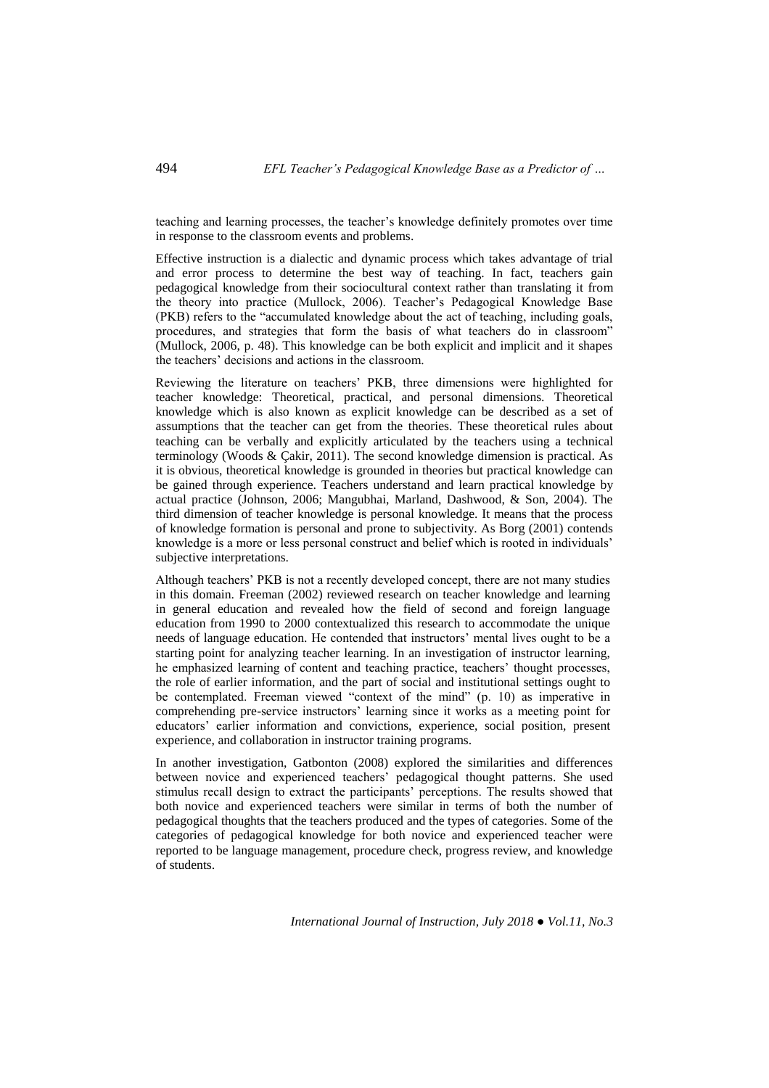teaching and learning processes, the teacher's knowledge definitely promotes over time in response to the classroom events and problems.

Effective instruction is a dialectic and dynamic process which takes advantage of trial and error process to determine the best way of teaching. In fact, teachers gain pedagogical knowledge from their sociocultural context rather than translating it from the theory into practice (Mullock, 2006). Teacher's Pedagogical Knowledge Base (PKB) refers to the "accumulated knowledge about the act of teaching, including goals, procedures, and strategies that form the basis of what teachers do in classroom" (Mullock, 2006, p. 48). This knowledge can be both explicit and implicit and it shapes the teachers' decisions and actions in the classroom.

Reviewing the literature on teachers' PKB, three dimensions were highlighted for teacher knowledge: Theoretical, practical, and personal dimensions. Theoretical knowledge which is also known as explicit knowledge can be described as a set of assumptions that the teacher can get from the theories. These theoretical rules about teaching can be verbally and explicitly articulated by the teachers using a technical terminology (Woods & Çakir, 2011). The second knowledge dimension is practical. As it is obvious, theoretical knowledge is grounded in theories but practical knowledge can be gained through experience. Teachers understand and learn practical knowledge by actual practice (Johnson, 2006; Mangubhai, Marland, Dashwood, & Son, 2004). The third dimension of teacher knowledge is personal knowledge. It means that the process of knowledge formation is personal and prone to subjectivity. As Borg (2001) contends knowledge is a more or less personal construct and belief which is rooted in individuals' subjective interpretations.

Although teachers' PKB is not a recently developed concept, there are not many studies in this domain. Freeman (2002) reviewed research on teacher knowledge and learning in general education and revealed how the field of second and foreign language education from 1990 to 2000 contextualized this research to accommodate the unique needs of language education. He contended that instructors' mental lives ought to be a starting point for analyzing teacher learning. In an investigation of instructor learning, he emphasized learning of content and teaching practice, teachers' thought processes, the role of earlier information, and the part of social and institutional settings ought to be contemplated. Freeman viewed "context of the mind" (p. 10) as imperative in comprehending pre-service instructors' learning since it works as a meeting point for educators' earlier information and convictions, experience, social position, present experience, and collaboration in instructor training programs.

In another investigation, Gatbonton (2008) explored the similarities and differences between novice and experienced teachers' pedagogical thought patterns. She used stimulus recall design to extract the participants' perceptions. The results showed that both novice and experienced teachers were similar in terms of both the number of pedagogical thoughts that the teachers produced and the types of categories. Some of the categories of pedagogical knowledge for both novice and experienced teacher were reported to be language management, procedure check, progress review, and knowledge of students.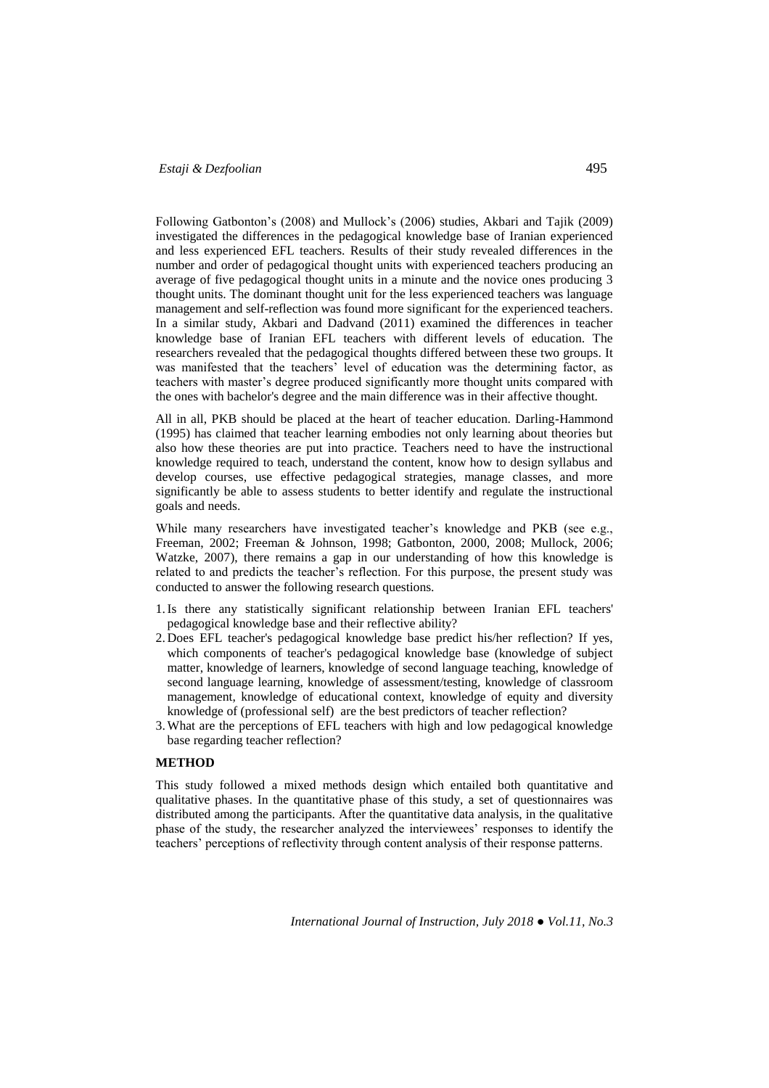## *Estaji & Dezfoolian* 495

Following Gatbonton's (2008) and Mullock's (2006) studies, Akbari and Tajik (2009) investigated the differences in the pedagogical knowledge base of Iranian experienced and less experienced EFL teachers. Results of their study revealed differences in the number and order of pedagogical thought units with experienced teachers producing an average of five pedagogical thought units in a minute and the novice ones producing 3 thought units. The dominant thought unit for the less experienced teachers was language management and self-reflection was found more significant for the experienced teachers. In a similar study, Akbari and Dadvand (2011) examined the differences in teacher knowledge base of Iranian EFL teachers with different levels of education. The researchers revealed that the pedagogical thoughts differed between these two groups. It was manifested that the teachers' level of education was the determining factor, as teachers with master's degree produced significantly more thought units compared with the ones with bachelor's degree and the main difference was in their affective thought.

All in all, PKB should be placed at the heart of teacher education. Darling-Hammond (1995) has claimed that teacher learning embodies not only learning about theories but also how these theories are put into practice. Teachers need to have the instructional knowledge required to teach, understand the content, know how to design syllabus and develop courses, use effective pedagogical strategies, manage classes, and more significantly be able to assess students to better identify and regulate the instructional goals and needs.

While many researchers have investigated teacher's knowledge and PKB (see e.g., Freeman, 2002; Freeman & Johnson, 1998; Gatbonton, 2000, 2008; Mullock, 2006; Watzke, 2007), there remains a gap in our understanding of how this knowledge is related to and predicts the teacher's reflection. For this purpose, the present study was conducted to answer the following research questions.

- 1.Is there any statistically significant relationship between Iranian EFL teachers' pedagogical knowledge base and their reflective ability?
- 2. Does EFL teacher's pedagogical knowledge base predict his/her reflection? If yes, which components of teacher's pedagogical knowledge base (knowledge of subject matter, knowledge of learners, knowledge of second language teaching, knowledge of second language learning, knowledge of assessment/testing, knowledge of classroom management, knowledge of educational context, knowledge of equity and diversity knowledge of (professional self) are the best predictors of teacher reflection?
- 3.What are the perceptions of EFL teachers with high and low pedagogical knowledge base regarding teacher reflection?

### **METHOD**

This study followed a mixed methods design which entailed both quantitative and qualitative phases. In the quantitative phase of this study, a set of questionnaires was distributed among the participants. After the quantitative data analysis, in the qualitative phase of the study, the researcher analyzed the interviewees' responses to identify the teachers' perceptions of reflectivity through content analysis of their response patterns.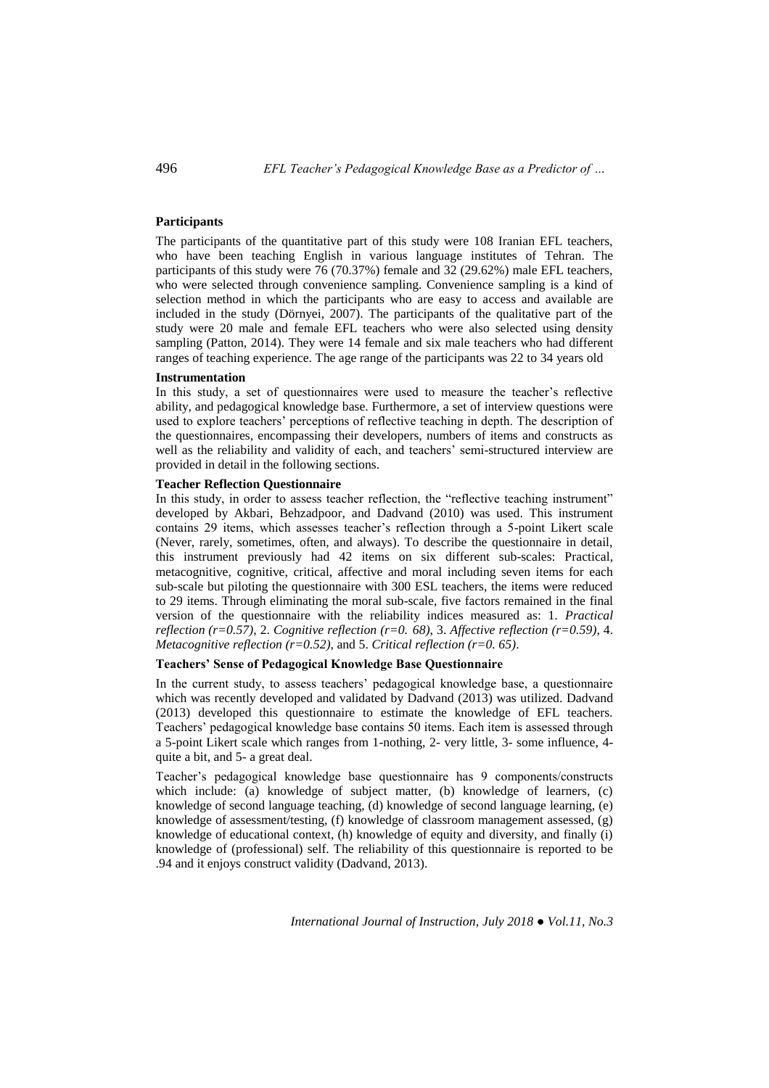## **Participants**

The participants of the quantitative part of this study were 108 Iranian EFL teachers, who have been teaching English in various language institutes of Tehran. The participants of this study were 76 (70.37%) female and 32 (29.62%) male EFL teachers, who were selected through convenience sampling. Convenience sampling is a kind of selection method in which the participants who are easy to access and available are included in the study (Dörnyei, 2007). The participants of the qualitative part of the study were 20 male and female EFL teachers who were also selected using density sampling (Patton, 2014). They were 14 female and six male teachers who had different ranges of teaching experience. The age range of the participants was 22 to 34 years old

#### **Instrumentation**

In this study, a set of questionnaires were used to measure the teacher's reflective ability, and pedagogical knowledge base. Furthermore, a set of interview questions were used to explore teachers' perceptions of reflective teaching in depth. The description of the questionnaires, encompassing their developers, numbers of items and constructs as well as the reliability and validity of each, and teachers' semi-structured interview are provided in detail in the following sections.

#### **Teacher Reflection Questionnaire**

In this study, in order to assess teacher reflection, the "reflective teaching instrument" developed by Akbari, Behzadpoor, and Dadvand (2010) was used. This instrument contains 29 items, which assesses teacher's reflection through a 5-point Likert scale (Never, rarely, sometimes, often, and always). To describe the questionnaire in detail, this instrument previously had 42 items on six different sub-scales: Practical, metacognitive, cognitive, critical, affective and moral including seven items for each sub-scale but piloting the questionnaire with 300 ESL teachers, the items were reduced to 29 items. Through eliminating the moral sub-scale, five factors remained in the final version of the questionnaire with the reliability indices measured as: 1. *Practical reflection (r=0.57)*, 2. *Cognitive reflection (r=0. 68)*, 3. *Affective reflection (r=0.59)*, 4. *Metacognitive reflection (r=0.52)*, and 5. *Critical reflection (r=0. 65)*.

#### **Teachers' Sense of Pedagogical Knowledge Base Questionnaire**

In the current study, to assess teachers' pedagogical knowledge base, a questionnaire which was recently developed and validated by Dadvand (2013) was utilized. Dadvand (2013) developed this questionnaire to estimate the knowledge of EFL teachers. Teachers' pedagogical knowledge base contains 50 items. Each item is assessed through a 5-point Likert scale which ranges from 1-nothing, 2- very little, 3- some influence, 4 quite a bit, and 5- a great deal.

Teacher's pedagogical knowledge base questionnaire has 9 components/constructs which include: (a) knowledge of subject matter, (b) knowledge of learners, (c) knowledge of second language teaching, (d) knowledge of second language learning, (e) knowledge of assessment/testing, (f) knowledge of classroom management assessed, (g) knowledge of educational context, (h) knowledge of equity and diversity, and finally (i) knowledge of (professional) self. The reliability of this questionnaire is reported to be .94 and it enjoys construct validity (Dadvand, 2013).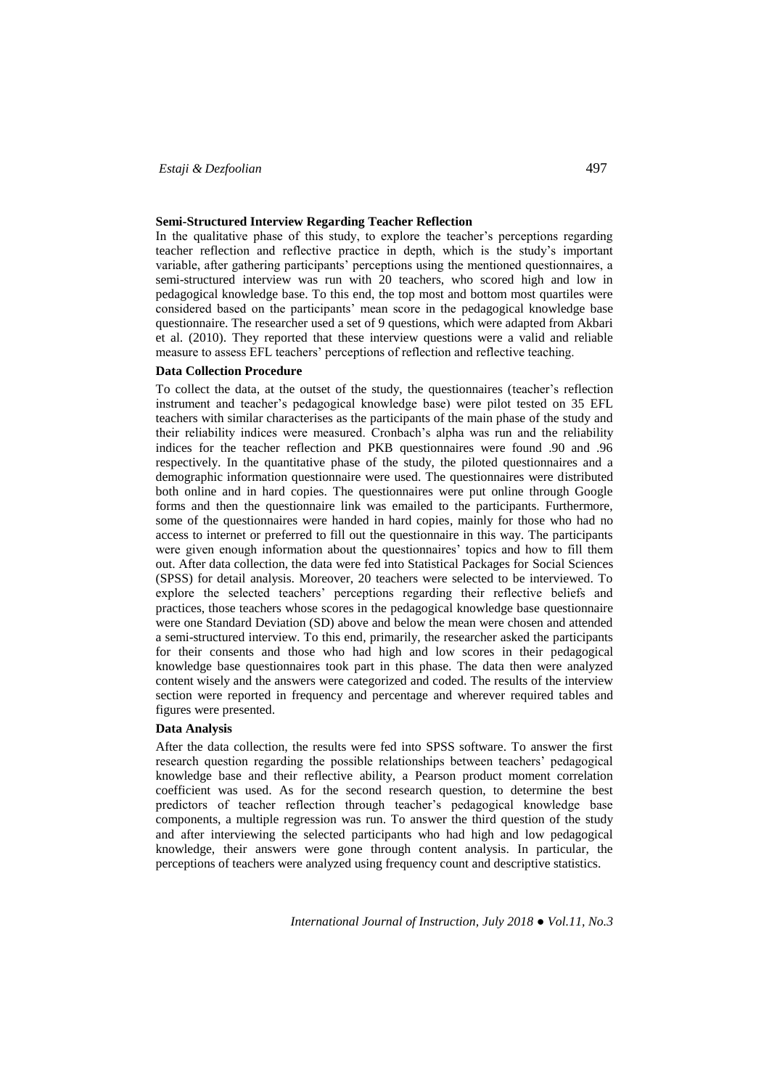### **Semi-Structured Interview Regarding Teacher Reflection**

In the qualitative phase of this study, to explore the teacher's perceptions regarding teacher reflection and reflective practice in depth, which is the study's important variable, after gathering participants' perceptions using the mentioned questionnaires, a semi-structured interview was run with 20 teachers, who scored high and low in pedagogical knowledge base. To this end, the top most and bottom most quartiles were considered based on the participants' mean score in the pedagogical knowledge base questionnaire. The researcher used a set of 9 questions, which were adapted from Akbari et al. (2010). They reported that these interview questions were a valid and reliable measure to assess EFL teachers' perceptions of reflection and reflective teaching.

### **Data Collection Procedure**

To collect the data, at the outset of the study, the questionnaires (teacher's reflection instrument and teacher's pedagogical knowledge base) were pilot tested on 35 EFL teachers with similar characterises as the participants of the main phase of the study and their reliability indices were measured. Cronbach's alpha was run and the reliability indices for the teacher reflection and PKB questionnaires were found .90 and .96 respectively. In the quantitative phase of the study, the piloted questionnaires and a demographic information questionnaire were used. The questionnaires were distributed both online and in hard copies. The questionnaires were put online through Google forms and then the questionnaire link was emailed to the participants. Furthermore, some of the questionnaires were handed in hard copies, mainly for those who had no access to internet or preferred to fill out the questionnaire in this way. The participants were given enough information about the questionnaires' topics and how to fill them out. After data collection, the data were fed into Statistical Packages for Social Sciences (SPSS) for detail analysis. Moreover, 20 teachers were selected to be interviewed. To explore the selected teachers' perceptions regarding their reflective beliefs and practices, those teachers whose scores in the pedagogical knowledge base questionnaire were one Standard Deviation (SD) above and below the mean were chosen and attended a semi-structured interview. To this end, primarily, the researcher asked the participants for their consents and those who had high and low scores in their pedagogical knowledge base questionnaires took part in this phase. The data then were analyzed content wisely and the answers were categorized and coded. The results of the interview section were reported in frequency and percentage and wherever required tables and figures were presented.

#### **Data Analysis**

After the data collection, the results were fed into SPSS software. To answer the first research question regarding the possible relationships between teachers' pedagogical knowledge base and their reflective ability, a Pearson product moment correlation coefficient was used. As for the second research question, to determine the best predictors of teacher reflection through teacher's pedagogical knowledge base components, a multiple regression was run. To answer the third question of the study and after interviewing the selected participants who had high and low pedagogical knowledge, their answers were gone through content analysis. In particular, the perceptions of teachers were analyzed using frequency count and descriptive statistics.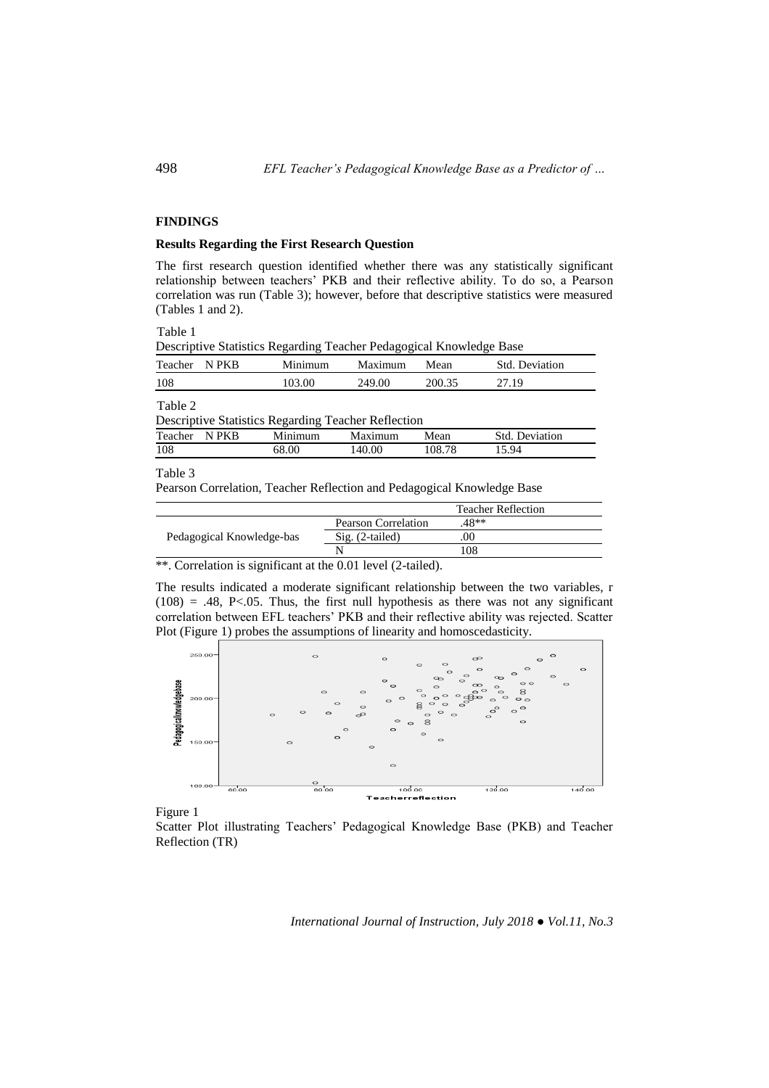## **FINDINGS**

## **Results Regarding the First Research Question**

The first research question identified whether there was any statistically significant relationship between teachers' PKB and their reflective ability. To do so, a Pearson correlation was run (Table 3); however, before that descriptive statistics were measured (Tables 1 and 2).

Table 1

| Descriptive Statistics Regarding Teacher Pedagogical Knowledge Base  |  |        |        |        |       |  |  |
|----------------------------------------------------------------------|--|--------|--------|--------|-------|--|--|
| Teacher N PKB<br><b>Std.</b> Deviation<br>Maximum<br>Minimum<br>Mean |  |        |        |        |       |  |  |
| -108                                                                 |  | 103.00 | 249.00 | 200.35 | 27.19 |  |  |

Table 2

|  | Descriptive Statistics Regarding Teacher Reflection |  |  |  |
|--|-----------------------------------------------------|--|--|--|
|--|-----------------------------------------------------|--|--|--|

| Teacher | <b>PKR</b><br>N | Minimum | laxımıım | Mean   | Std<br>Deviation |  |
|---------|-----------------|---------|----------|--------|------------------|--|
| 108     |                 | 68.00   | .40.00   | .08.78 | 5 Q4             |  |
|         |                 |         |          |        |                  |  |

Table 3

Pearson Correlation, Teacher Reflection and Pedagogical Knowledge Base

|                           |                            | <b>Teacher Reflection</b> |
|---------------------------|----------------------------|---------------------------|
|                           | <b>Pearson Correlation</b> | $48**$                    |
| Pedagogical Knowledge-bas | $Sig. (2-tailed)$          |                           |
|                           |                            | .08                       |

\*\*. Correlation is significant at the 0.01 level (2-tailed).

The results indicated a moderate significant relationship between the two variables, r  $(108) = .48$ , P<.05. Thus, the first null hypothesis as there was not any significant correlation between EFL teachers' PKB and their reflective ability was rejected. Scatter Plot (Figure 1) probes the assumptions of linearity and homoscedasticity.



Figure 1

Scatter Plot illustrating Teachers' Pedagogical Knowledge Base (PKB) and Teacher Reflection (TR)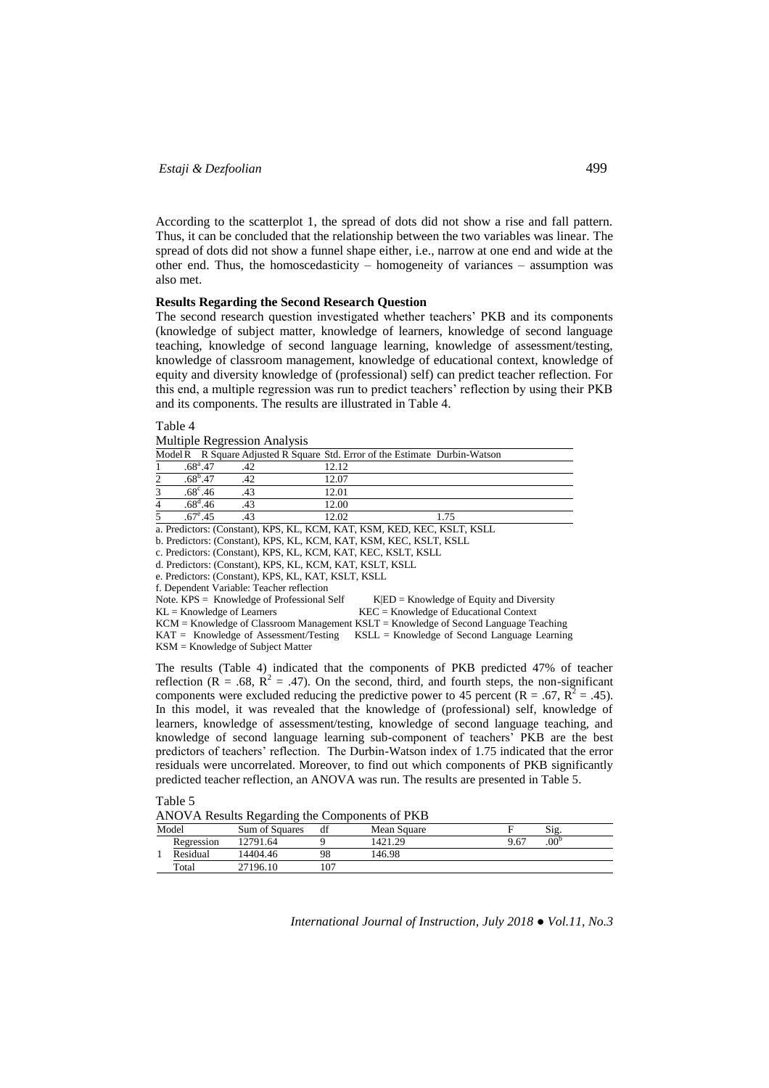According to the scatterplot 1, the spread of dots did not show a rise and fall pattern. Thus, it can be concluded that the relationship between the two variables was linear. The spread of dots did not show a funnel shape either, i.e., narrow at one end and wide at the other end. Thus, the homoscedasticity – homogeneity of variances – assumption was also met.

#### **Results Regarding the Second Research Question**

The second research question investigated whether teachers' PKB and its components (knowledge of subject matter, knowledge of learners, knowledge of second language teaching, knowledge of second language learning, knowledge of assessment/testing, knowledge of classroom management, knowledge of educational context, knowledge of equity and diversity knowledge of (professional) self) can predict teacher reflection. For this end, a multiple regression was run to predict teachers' reflection by using their PKB and its components. The results are illustrated in Table 4.

### Table 4

Table 5

|  | Multiple Regression Analysis |
|--|------------------------------|
|  |                              |
|  |                              |

|                |                  |                                           |                                                          | Model R R Square Adjusted R Square Std. Error of the Estimate Durbin-Watson              |
|----------------|------------------|-------------------------------------------|----------------------------------------------------------|------------------------------------------------------------------------------------------|
|                | $.68^{\circ}.47$ | .42                                       | 12.12                                                    |                                                                                          |
| $\overline{2}$ | $.68^{\rm b}.47$ | .42                                       | 12.07                                                    |                                                                                          |
| $\overline{3}$ | $.68^{\circ}.46$ | .43                                       | 12.01                                                    |                                                                                          |
| $\overline{4}$ | $.68^{\rm d}.46$ | .43                                       | 12.00                                                    |                                                                                          |
| 5              | $.67^{\circ}.45$ | .43                                       | 12.02                                                    | 1.75                                                                                     |
|                |                  |                                           |                                                          | a. Predictors: (Constant), KPS, KL, KCM, KAT, KSM, KED, KEC, KSLT, KSLL                  |
|                |                  |                                           |                                                          | b. Predictors: (Constant), KPS, KL, KCM, KAT, KSM, KEC, KSLT, KSLL                       |
|                |                  |                                           |                                                          | c. Predictors: (Constant), KPS, KL, KCM, KAT, KEC, KSLT, KSLL                            |
|                |                  |                                           | d. Predictors: (Constant), KPS, KL, KCM, KAT, KSLT, KSLL |                                                                                          |
|                |                  |                                           | e. Predictors: (Constant), KPS, KL, KAT, KSLT, KSLL      |                                                                                          |
|                |                  | f. Dependent Variable: Teacher reflection |                                                          |                                                                                          |
|                |                  |                                           | Note. $KPS =$ Knowledge of Professional Self             | $K ED =$ Knowledge of Equity and Diversity                                               |
|                |                  | $KL =$ Knowledge of Learners              |                                                          | $KEC =$ Knowledge of Educational Context                                                 |
|                |                  |                                           |                                                          | $KCM =$ Knowledge of Classroom Management $KSLT =$ Knowledge of Second Language Teaching |
|                |                  | $KSM =$ Knowledge of Subject Matter       | $KAT =$ Knowledge of Assessment/Testing                  | $KSLL =$ Knowledge of Second Language Learning                                           |
|                |                  |                                           |                                                          | The results (Table 4) indicated that the components of PKB predicted 47% of teacher      |

reflection (R = .68, R<sup>2</sup> = .47). On the second, third, and fourth steps, the non-significant components were excluded reducing the predictive power to 45 percent ( $R = .67$ ,  $R^2 = .45$ ). In this model, it was revealed that the knowledge of (professional) self, knowledge of learners, knowledge of assessment/testing, knowledge of second language teaching, and knowledge of second language learning sub-component of teachers' PKB are the best predictors of teachers' reflection. The Durbin-Watson index of 1.75 indicated that the error residuals were uncorrelated. Moreover, to find out which components of PKB significantly predicted teacher reflection, an ANOVA was run. The results are presented in Table 5.

|  | ANOVA Results Regarding the Com |  |
|--|---------------------------------|--|

| ANOVA Results Regarding the Components of PKB        |          |     |         |      |               |  |  |
|------------------------------------------------------|----------|-----|---------|------|---------------|--|--|
| Model<br>Sig.<br>Sum of Squares<br>df<br>Mean Square |          |     |         |      |               |  |  |
| Regression                                           | 12791.64 |     | 1421.29 | 9.67 | $.00^{\circ}$ |  |  |
| Residual                                             | 14404 46 | 98  | 146.98  |      |               |  |  |
| Total                                                | 27196.10 | 07، |         |      |               |  |  |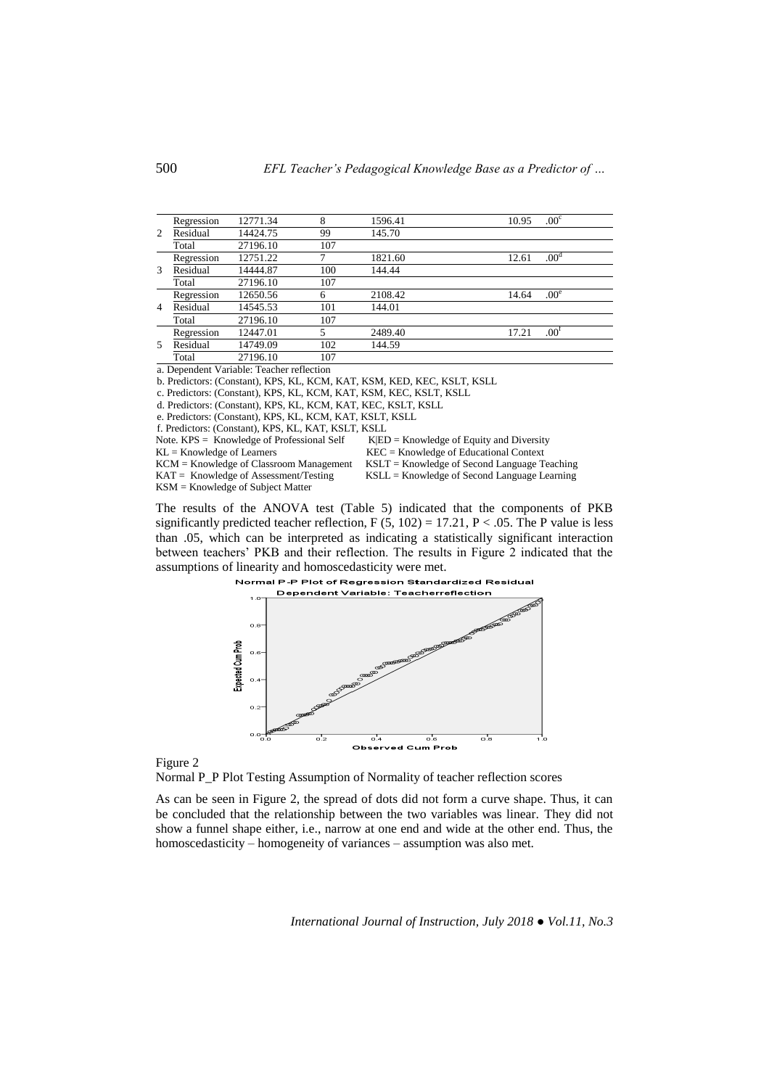|   | Regression | 12771.34 | 8   | 1596.41 | 10.95 | .00 <sup>c</sup> |
|---|------------|----------|-----|---------|-------|------------------|
| 2 | Residual   | 14424.75 | 99  | 145.70  |       |                  |
|   | Total      | 27196.10 | 107 |         |       |                  |
|   | Regression | 12751.22 | 7   | 1821.60 | 12.61 | .00 <sup>d</sup> |
| 3 | Residual   | 14444.87 | 100 | 144.44  |       |                  |
|   | Total      | 27196.10 | 107 |         |       |                  |
|   | Regression | 12650.56 | 6   | 2108.42 | 14.64 | .00 <sup>e</sup> |
| 4 | Residual   | 14545.53 | 101 | 144.01  |       |                  |
|   | Total      | 27196.10 | 107 |         |       |                  |
|   | Regression | 12447.01 | 5   | 2489.40 | 17.21 | .00 <sup>t</sup> |
| 5 | Residual   | 14749.09 | 102 | 144.59  |       |                  |
|   | Total      | 27196.10 | 107 |         |       |                  |

a. Dependent Variable: Teacher reflection

b. Predictors: (Constant), KPS, KL, KCM, KAT, KSM, KED, KEC, KSLT, KSLL

c. Predictors: (Constant), KPS, KL, KCM, KAT, KSM, KEC, KSLT, KSLL

d. Predictors: (Constant), KPS, KL, KCM, KAT, KEC, KSLT, KSLL

e. Predictors: (Constant), KPS, KL, KCM, KAT, KSLT, KSLL

f. Predictors: (Constant), KPS, KL, KAT, KSLT, KSLL Note.  $KPS =$  Knowledge of Professional Self

KL = Knowledge of Learners KEC = Knowledge of Educational Context<br>KCM = Knowledge of Classroom Management KSLT = Knowledge of Second Language T KCM = Knowledge of Classroom Management KSLT = Knowledge of Second Language Teaching<br>KAT = Knowledge of Assessment/Testing KSLL = Knowledge of Second Language Learning

KSLL = Knowledge of Second Language Learning

KSM = Knowledge of Subject Matter

The results of the ANOVA test (Table 5) indicated that the components of PKB significantly predicted teacher reflection, F  $(5, 102) = 17.21$ , P < .05. The P value is less than .05, which can be interpreted as indicating a statistically significant interaction between teachers' PKB and their reflection. The results in Figure 2 indicated that the assumptions of linearity and homoscedasticity were met.



Figure 2

Normal P\_P Plot Testing Assumption of Normality of teacher reflection scores

As can be seen in Figure 2, the spread of dots did not form a curve shape. Thus, it can be concluded that the relationship between the two variables was linear. They did not show a funnel shape either, i.e., narrow at one end and wide at the other end. Thus, the homoscedasticity – homogeneity of variances – assumption was also met.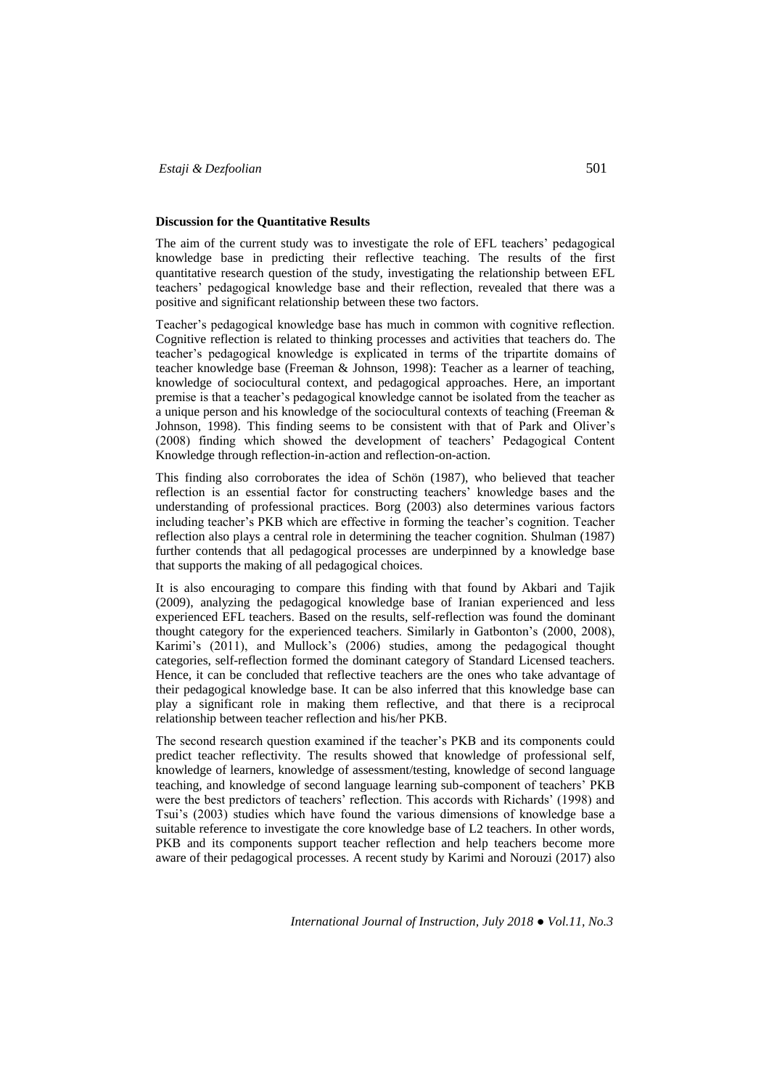### **Discussion for the Quantitative Results**

The aim of the current study was to investigate the role of EFL teachers' pedagogical knowledge base in predicting their reflective teaching. The results of the first quantitative research question of the study, investigating the relationship between EFL teachers' pedagogical knowledge base and their reflection, revealed that there was a positive and significant relationship between these two factors.

Teacher's pedagogical knowledge base has much in common with cognitive reflection. Cognitive reflection is related to thinking processes and activities that teachers do. The teacher's pedagogical knowledge is explicated in terms of the tripartite domains of teacher knowledge base (Freeman & Johnson, 1998): Teacher as a learner of teaching, knowledge of sociocultural context, and pedagogical approaches. Here, an important premise is that a teacher's pedagogical knowledge cannot be isolated from the teacher as a unique person and his knowledge of the sociocultural contexts of teaching (Freeman & Johnson, 1998). This finding seems to be consistent with that of Park and Oliver's (2008) finding which showed the development of teachers' Pedagogical Content Knowledge through reflection-in-action and reflection-on-action.

This finding also corroborates the idea of Schön (1987), who believed that teacher reflection is an essential factor for constructing teachers' knowledge bases and the understanding of professional practices. Borg (2003) also determines various factors including teacher's PKB which are effective in forming the teacher's cognition. Teacher reflection also plays a central role in determining the teacher cognition. Shulman (1987) further contends that all pedagogical processes are underpinned by a knowledge base that supports the making of all pedagogical choices.

It is also encouraging to compare this finding with that found by Akbari and Tajik (2009), analyzing the pedagogical knowledge base of Iranian experienced and less experienced EFL teachers. Based on the results, self-reflection was found the dominant thought category for the experienced teachers. Similarly in Gatbonton's (2000, 2008), Karimi's (2011), and Mullock's (2006) studies, among the pedagogical thought categories, self-reflection formed the dominant category of Standard Licensed teachers. Hence, it can be concluded that reflective teachers are the ones who take advantage of their pedagogical knowledge base. It can be also inferred that this knowledge base can play a significant role in making them reflective, and that there is a reciprocal relationship between teacher reflection and his/her PKB.

The second research question examined if the teacher's PKB and its components could predict teacher reflectivity. The results showed that knowledge of professional self, knowledge of learners, knowledge of assessment/testing, knowledge of second language teaching, and knowledge of second language learning sub-component of teachers' PKB were the best predictors of teachers' reflection. This accords with Richards' (1998) and Tsui's (2003) studies which have found the various dimensions of knowledge base a suitable reference to investigate the core knowledge base of L2 teachers. In other words, PKB and its components support teacher reflection and help teachers become more aware of their pedagogical processes. A recent study by Karimi and Norouzi (2017) also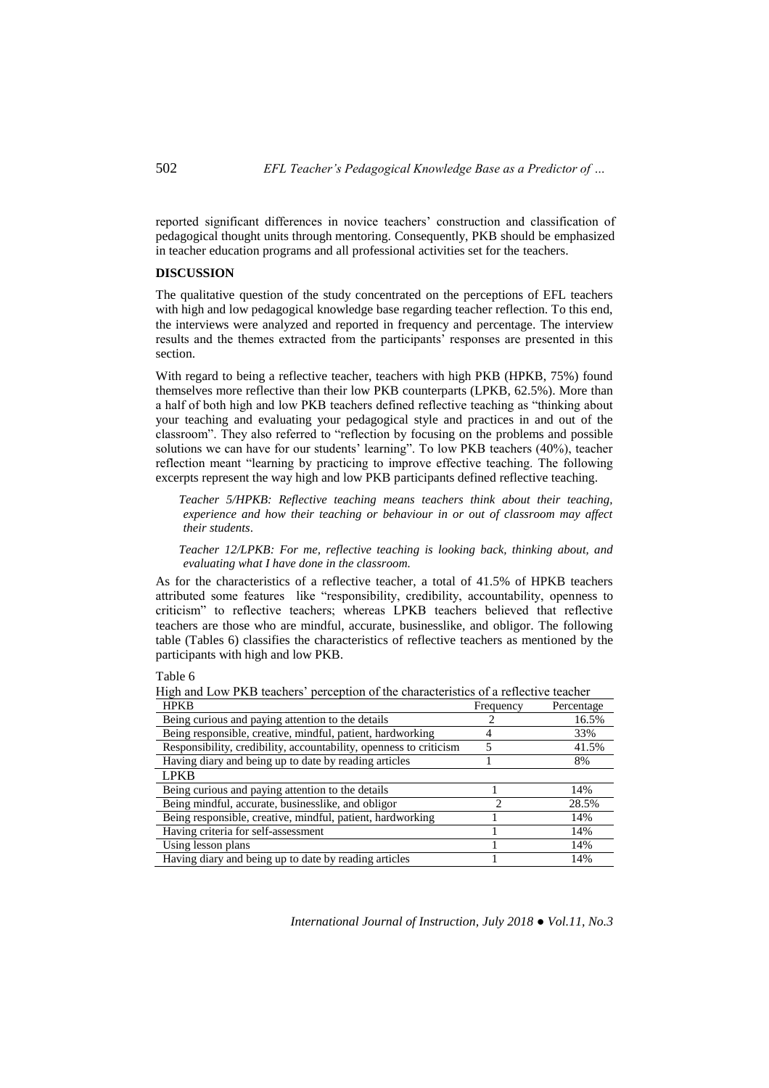reported significant differences in novice teachers' construction and classification of pedagogical thought units through mentoring. Consequently, PKB should be emphasized in teacher education programs and all professional activities set for the teachers.

### **DISCUSSION**

The qualitative question of the study concentrated on the perceptions of EFL teachers with high and low pedagogical knowledge base regarding teacher reflection. To this end, the interviews were analyzed and reported in frequency and percentage. The interview results and the themes extracted from the participants' responses are presented in this section.

With regard to being a reflective teacher, teachers with high PKB (HPKB, 75%) found themselves more reflective than their low PKB counterparts (LPKB, 62.5%). More than a half of both high and low PKB teachers defined reflective teaching as "thinking about your teaching and evaluating your pedagogical style and practices in and out of the classroom". They also referred to "reflection by focusing on the problems and possible solutions we can have for our students' learning". To low PKB teachers (40%), teacher reflection meant "learning by practicing to improve effective teaching. The following excerpts represent the way high and low PKB participants defined reflective teaching.

*Teacher 5/HPKB: Reflective teaching means teachers think about their teaching, experience and how their teaching or behaviour in or out of classroom may affect their students*.

*Teacher 12/LPKB: For me, reflective teaching is looking back, thinking about, and evaluating what I have done in the classroom.*

As for the characteristics of a reflective teacher, a total of 41.5% of HPKB teachers attributed some features like "responsibility, credibility, accountability, openness to criticism" to reflective teachers; whereas LPKB teachers believed that reflective teachers are those who are mindful, accurate, businesslike, and obligor. The following table (Tables 6) classifies the characteristics of reflective teachers as mentioned by the participants with high and low PKB.

Table 6

| <b>HPKB</b>                                                        | Frequency | Percentage |
|--------------------------------------------------------------------|-----------|------------|
| Being curious and paying attention to the details                  |           | 16.5%      |
| Being responsible, creative, mindful, patient, hardworking         |           | 33%        |
| Responsibility, credibility, accountability, openness to criticism |           | 41.5%      |
| Having diary and being up to date by reading articles              |           | 8%         |
| LPKB                                                               |           |            |
| Being curious and paying attention to the details                  |           | 14%        |
| Being mindful, accurate, businesslike, and obligor                 | ∍         | 28.5%      |
| Being responsible, creative, mindful, patient, hardworking         |           | 14%        |
| Having criteria for self-assessment                                |           | 14%        |
| Using lesson plans                                                 |           | 14%        |
| Having diary and being up to date by reading articles              |           | 14%        |

High and Low PKB teachers' perception of the characteristics of a reflective teacher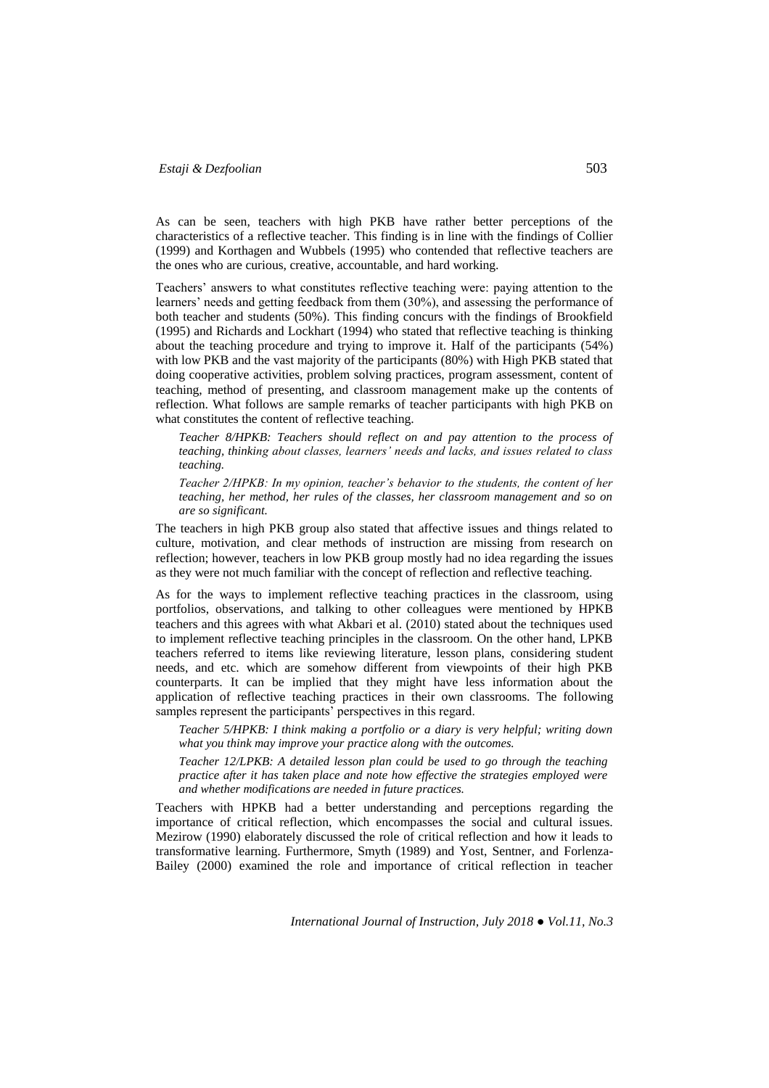As can be seen, teachers with high PKB have rather better perceptions of the characteristics of a reflective teacher. This finding is in line with the findings of Collier (1999) and Korthagen and Wubbels (1995) who contended that reflective teachers are the ones who are curious, creative, accountable, and hard working.

Teachers' answers to what constitutes reflective teaching were: paying attention to the learners' needs and getting feedback from them (30%), and assessing the performance of both teacher and students (50%). This finding concurs with the findings of Brookfield (1995) and Richards and Lockhart (1994) who stated that reflective teaching is thinking about the teaching procedure and trying to improve it. Half of the participants (54%) with low PKB and the vast majority of the participants (80%) with High PKB stated that doing cooperative activities, problem solving practices, program assessment, content of teaching, method of presenting, and classroom management make up the contents of reflection. What follows are sample remarks of teacher participants with high PKB on what constitutes the content of reflective teaching.

*Teacher 8/HPKB: Teachers should reflect on and pay attention to the process of teaching, thinking about classes, learners' needs and lacks, and issues related to class teaching.*

*Teacher 2/HPKB: In my opinion, teacher's behavior to the students, the content of her teaching, her method, her rules of the classes, her classroom management and so on are so significant.* 

The teachers in high PKB group also stated that affective issues and things related to culture, motivation, and clear methods of instruction are missing from research on reflection; however, teachers in low PKB group mostly had no idea regarding the issues as they were not much familiar with the concept of reflection and reflective teaching.

As for the ways to implement reflective teaching practices in the classroom, using portfolios, observations, and talking to other colleagues were mentioned by HPKB teachers and this agrees with what Akbari et al. (2010) stated about the techniques used to implement reflective teaching principles in the classroom. On the other hand, LPKB teachers referred to items like reviewing literature, lesson plans, considering student needs, and etc. which are somehow different from viewpoints of their high PKB counterparts. It can be implied that they might have less information about the application of reflective teaching practices in their own classrooms. The following samples represent the participants' perspectives in this regard.

*Teacher 5/HPKB: I think making a portfolio or a diary is very helpful; writing down what you think may improve your practice along with the outcomes.*

*Teacher 12/LPKB: A detailed lesson plan could be used to go through the teaching practice after it has taken place and note how effective the strategies employed were and whether modifications are needed in future practices.*

Teachers with HPKB had a better understanding and perceptions regarding the importance of critical reflection, which encompasses the social and cultural issues. Mezirow (1990) elaborately discussed the role of critical reflection and how it leads to transformative learning. Furthermore, Smyth (1989) and Yost, Sentner, and Forlenza-Bailey (2000) examined the role and importance of critical reflection in teacher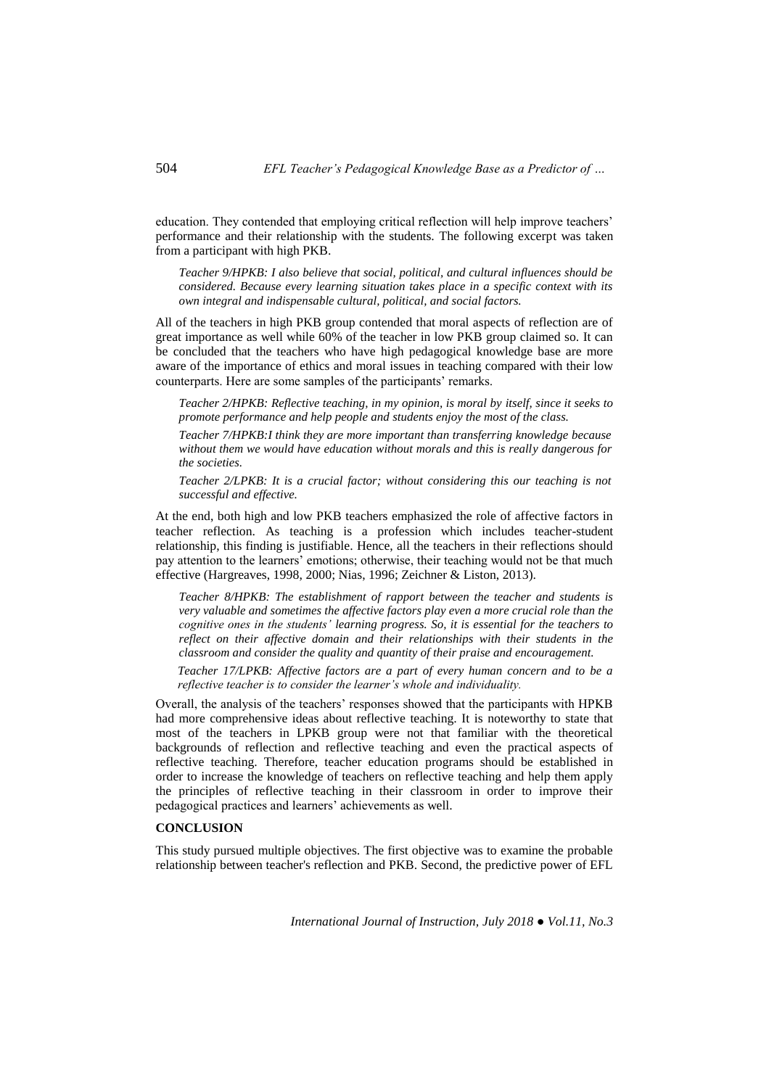education. They contended that employing critical reflection will help improve teachers' performance and their relationship with the students. The following excerpt was taken from a participant with high PKB.

*Teacher 9/HPKB: I also believe that social, political, and cultural influences should be considered. Because every learning situation takes place in a specific context with its own integral and indispensable cultural, political, and social factors.*

All of the teachers in high PKB group contended that moral aspects of reflection are of great importance as well while 60% of the teacher in low PKB group claimed so. It can be concluded that the teachers who have high pedagogical knowledge base are more aware of the importance of ethics and moral issues in teaching compared with their low counterparts. Here are some samples of the participants' remarks.

*Teacher 2/HPKB: Reflective teaching, in my opinion, is moral by itself, since it seeks to promote performance and help people and students enjoy the most of the class.*

*Teacher 7/HPKB:I think they are more important than transferring knowledge because without them we would have education without morals and this is really dangerous for the societies.*

*Teacher 2/LPKB: It is a crucial factor; without considering this our teaching is not successful and effective.*

At the end, both high and low PKB teachers emphasized the role of affective factors in teacher reflection. As teaching is a profession which includes teacher-student relationship, this finding is justifiable. Hence, all the teachers in their reflections should pay attention to the learners' emotions; otherwise, their teaching would not be that much effective (Hargreaves, 1998, 2000; Nias, 1996; Zeichner & Liston, 2013).

*Teacher 8/HPKB: The establishment of rapport between the teacher and students is very valuable and sometimes the affective factors play even a more crucial role than the cognitive ones in the students' learning progress. So, it is essential for the teachers to reflect on their affective domain and their relationships with their students in the classroom and consider the quality and quantity of their praise and encouragement.*

*Teacher 17/LPKB: Affective factors are a part of every human concern and to be a reflective teacher is to consider the learner's whole and individuality.*

Overall, the analysis of the teachers' responses showed that the participants with HPKB had more comprehensive ideas about reflective teaching. It is noteworthy to state that most of the teachers in LPKB group were not that familiar with the theoretical backgrounds of reflection and reflective teaching and even the practical aspects of reflective teaching. Therefore, teacher education programs should be established in order to increase the knowledge of teachers on reflective teaching and help them apply the principles of reflective teaching in their classroom in order to improve their pedagogical practices and learners' achievements as well.

## **CONCLUSION**

This study pursued multiple objectives. The first objective was to examine the probable relationship between teacher's reflection and PKB. Second, the predictive power of EFL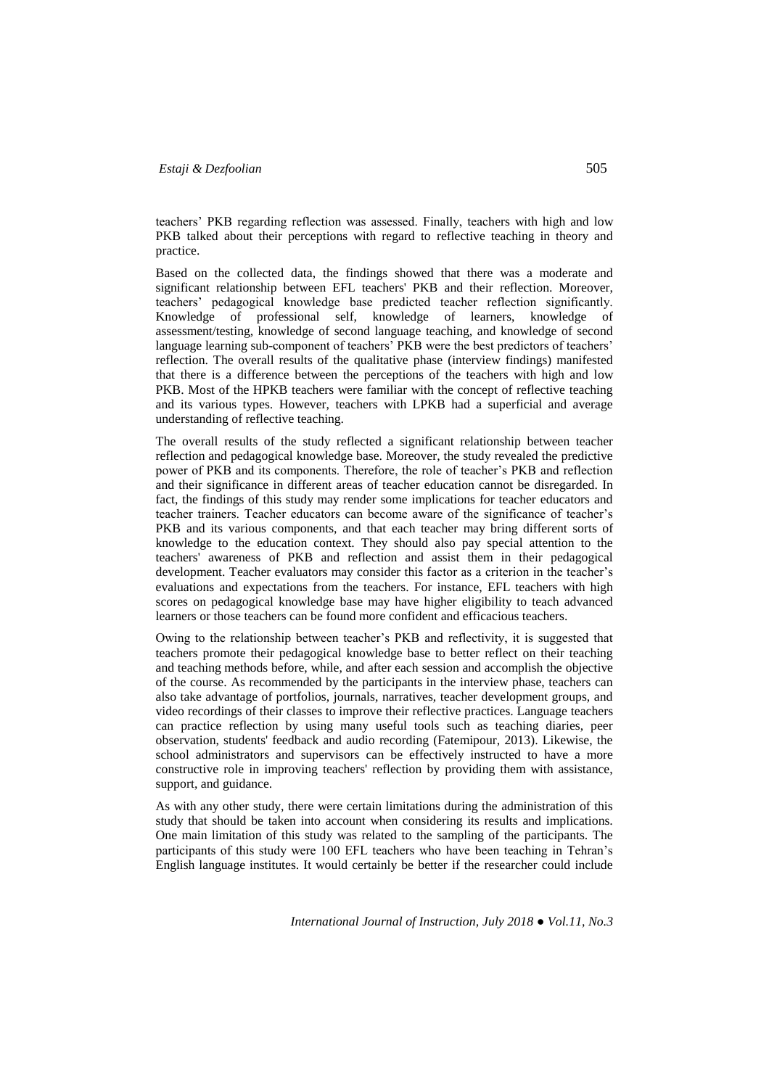# *Estaji & Dezfoolian* 505

teachers' PKB regarding reflection was assessed. Finally, teachers with high and low PKB talked about their perceptions with regard to reflective teaching in theory and practice.

Based on the collected data, the findings showed that there was a moderate and significant relationship between EFL teachers' PKB and their reflection. Moreover, teachers' pedagogical knowledge base predicted teacher reflection significantly. Knowledge of professional self, knowledge of learners, knowledge of assessment/testing, knowledge of second language teaching, and knowledge of second language learning sub-component of teachers' PKB were the best predictors of teachers' reflection. The overall results of the qualitative phase (interview findings) manifested that there is a difference between the perceptions of the teachers with high and low PKB. Most of the HPKB teachers were familiar with the concept of reflective teaching and its various types. However, teachers with LPKB had a superficial and average understanding of reflective teaching.

The overall results of the study reflected a significant relationship between teacher reflection and pedagogical knowledge base. Moreover, the study revealed the predictive power of PKB and its components. Therefore, the role of teacher's PKB and reflection and their significance in different areas of teacher education cannot be disregarded. In fact, the findings of this study may render some implications for teacher educators and teacher trainers. Teacher educators can become aware of the significance of teacher's PKB and its various components, and that each teacher may bring different sorts of knowledge to the education context. They should also pay special attention to the teachers' awareness of PKB and reflection and assist them in their pedagogical development. Teacher evaluators may consider this factor as a criterion in the teacher's evaluations and expectations from the teachers. For instance, EFL teachers with high scores on pedagogical knowledge base may have higher eligibility to teach advanced learners or those teachers can be found more confident and efficacious teachers.

Owing to the relationship between teacher's PKB and reflectivity, it is suggested that teachers promote their pedagogical knowledge base to better reflect on their teaching and teaching methods before, while, and after each session and accomplish the objective of the course. As recommended by the participants in the interview phase, teachers can also take advantage of portfolios, journals, narratives, teacher development groups, and video recordings of their classes to improve their reflective practices. Language teachers can practice reflection by using many useful tools such as teaching diaries, peer observation, students' feedback and audio recording (Fatemipour, 2013). Likewise, the school administrators and supervisors can be effectively instructed to have a more constructive role in improving teachers' reflection by providing them with assistance, support, and guidance.

As with any other study, there were certain limitations during the administration of this study that should be taken into account when considering its results and implications. One main limitation of this study was related to the sampling of the participants. The participants of this study were 100 EFL teachers who have been teaching in Tehran's English language institutes. It would certainly be better if the researcher could include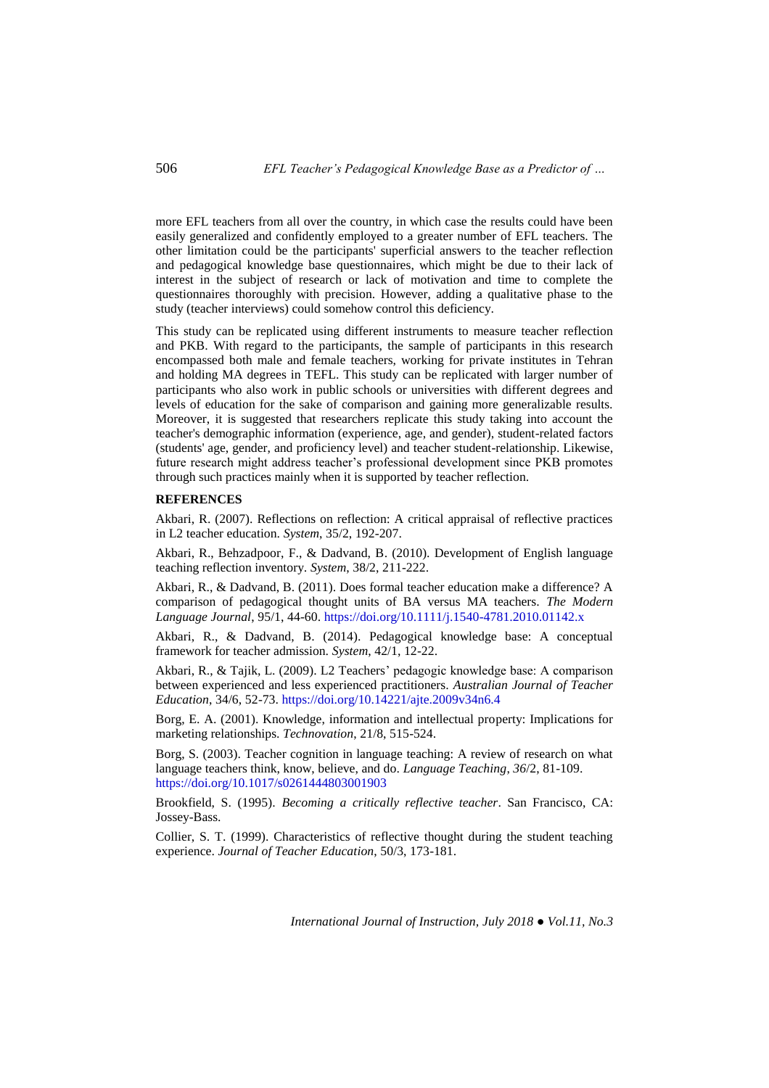more EFL teachers from all over the country, in which case the results could have been easily generalized and confidently employed to a greater number of EFL teachers. The other limitation could be the participants' superficial answers to the teacher reflection and pedagogical knowledge base questionnaires, which might be due to their lack of interest in the subject of research or lack of motivation and time to complete the questionnaires thoroughly with precision. However, adding a qualitative phase to the study (teacher interviews) could somehow control this deficiency.

This study can be replicated using different instruments to measure teacher reflection and PKB. With regard to the participants, the sample of participants in this research encompassed both male and female teachers, working for private institutes in Tehran and holding MA degrees in TEFL. This study can be replicated with larger number of participants who also work in public schools or universities with different degrees and levels of education for the sake of comparison and gaining more generalizable results. Moreover, it is suggested that researchers replicate this study taking into account the teacher's demographic information (experience, age, and gender), student-related factors (students' age, gender, and proficiency level) and teacher student-relationship. Likewise, future research might address teacher's professional development since PKB promotes through such practices mainly when it is supported by teacher reflection.

#### **REFERENCES**

Akbari, R. (2007). Reflections on reflection: A critical appraisal of reflective practices in L2 teacher education. *System*, 35/2, 192-207.

Akbari, R., Behzadpoor, F., & Dadvand, B. (2010). Development of English language teaching reflection inventory. *System*, 38/2, 211-222.

Akbari, R., & Dadvand, B. (2011). Does formal teacher education make a difference? A comparison of pedagogical thought units of BA versus MA teachers. *The Modern Language Journal*, 95/1, 44-60. https://doi.org/10.1111/j.1540-4781.2010.01142.x

Akbari, R., & Dadvand, B. (2014). Pedagogical knowledge base: A conceptual framework for teacher admission. *System*, 42/1, 12-22.

Akbari, R., & Tajik, L. (2009). L2 Teachers' pedagogic knowledge base: A comparison between experienced and less experienced practitioners. *Australian Journal of Teacher Education*, 34/6, 52-73. https://doi.org/10.14221/ajte.2009v34n6.4

Borg, E. A. (2001). Knowledge, information and intellectual property: Implications for marketing relationships. *Technovation*, 21/8, 515-524.

Borg, S. (2003). Teacher cognition in language teaching: A review of research on what language teachers think, know, believe, and do. *Language Teaching*, *36*/2, 81-109. https://doi.org/10.1017/s0261444803001903

Brookfield, S. (1995). *Becoming a critically reflective teacher*. San Francisco, CA: Jossey-Bass.

Collier, S. T. (1999). Characteristics of reflective thought during the student teaching experience. *Journal of Teacher Education*, 50/3, 173-181.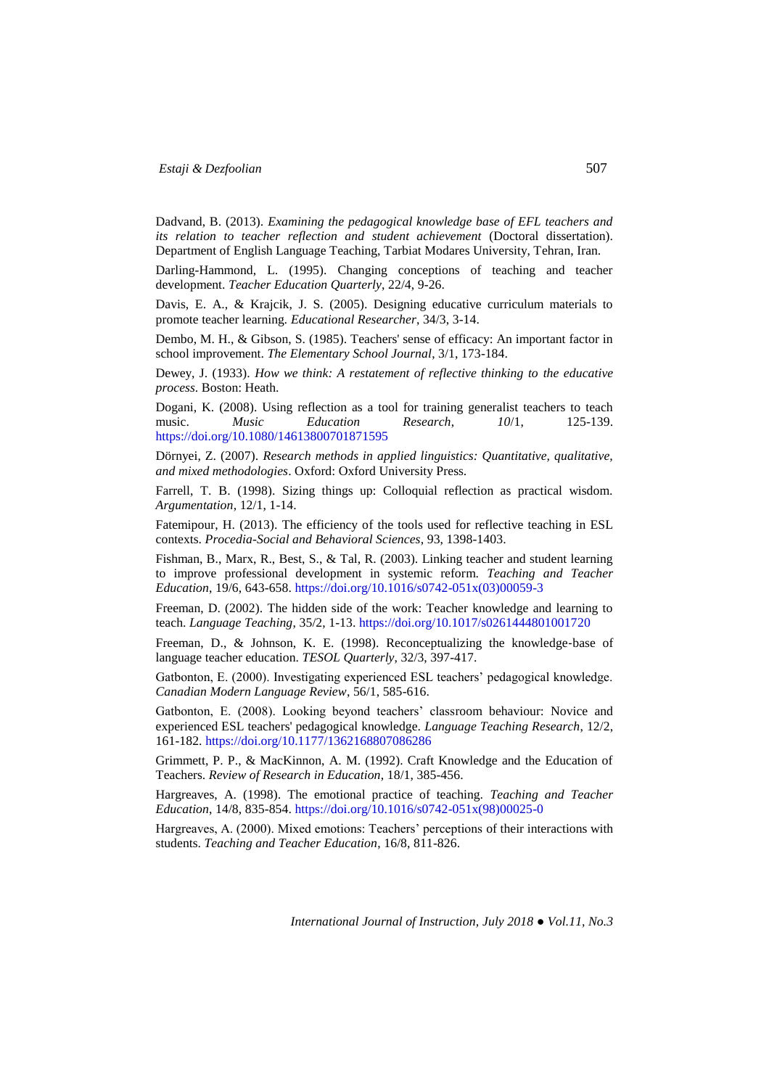Dadvand, B. (2013). *Examining the pedagogical knowledge base of EFL teachers and its relation to teacher reflection and student achievement* (Doctoral dissertation). Department of English Language Teaching, Tarbiat Modares University, Tehran, Iran.

Darling-Hammond, L. (1995). Changing conceptions of teaching and teacher development. *Teacher Education Quarterly*, 22/4, 9-26.

Davis, E. A., & Krajcik, J. S. (2005). Designing educative curriculum materials to promote teacher learning*. Educational Researcher*, 34/3, 3-14.

Dembo, M. H., & Gibson, S. (1985). Teachers' sense of efficacy: An important factor in school improvement. *The Elementary School Journal*, 3/1, 173-184.

Dewey, J. (1933). *How we think: A restatement of reflective thinking to the educative process*. Boston: Heath.

Dogani, K. (2008). Using reflection as a tool for training generalist teachers to teach music. *Music Education Research*, *10*/1, 125-139. https://doi.org/10.1080/14613800701871595

Dörnyei, Z. (2007). *Research methods in applied linguistics: Quantitative, qualitative, and mixed methodologies*. Oxford: Oxford University Press.

Farrell, T. B. (1998). Sizing things up: Colloquial reflection as practical wisdom. *Argumentation*, 12/1, 1-14.

Fatemipour, H. (2013). The efficiency of the tools used for reflective teaching in ESL contexts. *Procedia-Social and Behavioral Sciences*, 93, 1398-1403.

Fishman, B., Marx, R., Best, S., & Tal, R. (2003). Linking teacher and student learning to improve professional development in systemic reform. *Teaching and Teacher Education*, 19/6, 643-658. https://doi.org/10.1016/s0742-051x(03)00059-3

Freeman, D. (2002). The hidden side of the work: Teacher knowledge and learning to teach. *Language Teaching*, 35/2, 1-13. https://doi.org/10.1017/s0261444801001720

Freeman, D., & Johnson, K. E. (1998). Reconceptualizing the knowledge-base of language teacher education. *TESOL Quarterly*, 32/3, 397-417.

Gatbonton, E. (2000). Investigating experienced ESL teachers' pedagogical knowledge. *Canadian Modern Language Review*, 56/1, 585-616.

Gatbonton, E. (2008). Looking beyond teachers' classroom behaviour: Novice and experienced ESL teachers' pedagogical knowledge. *Language Teaching Research*, 12/2, 161-182. https://doi.org/10.1177/1362168807086286

Grimmett, P. P., & MacKinnon, A. M. (1992). Craft Knowledge and the Education of Teachers. *Review of Research in Education*, 18/1, 385-456.

Hargreaves, A. (1998). The emotional practice of teaching. *Teaching and Teacher Education*, 14/8, 835-854. https://doi.org/10.1016/s0742-051x(98)00025-0

Hargreaves, A. (2000). Mixed emotions: Teachers' perceptions of their interactions with students. *Teaching and Teacher Education*, 16/8, 811-826.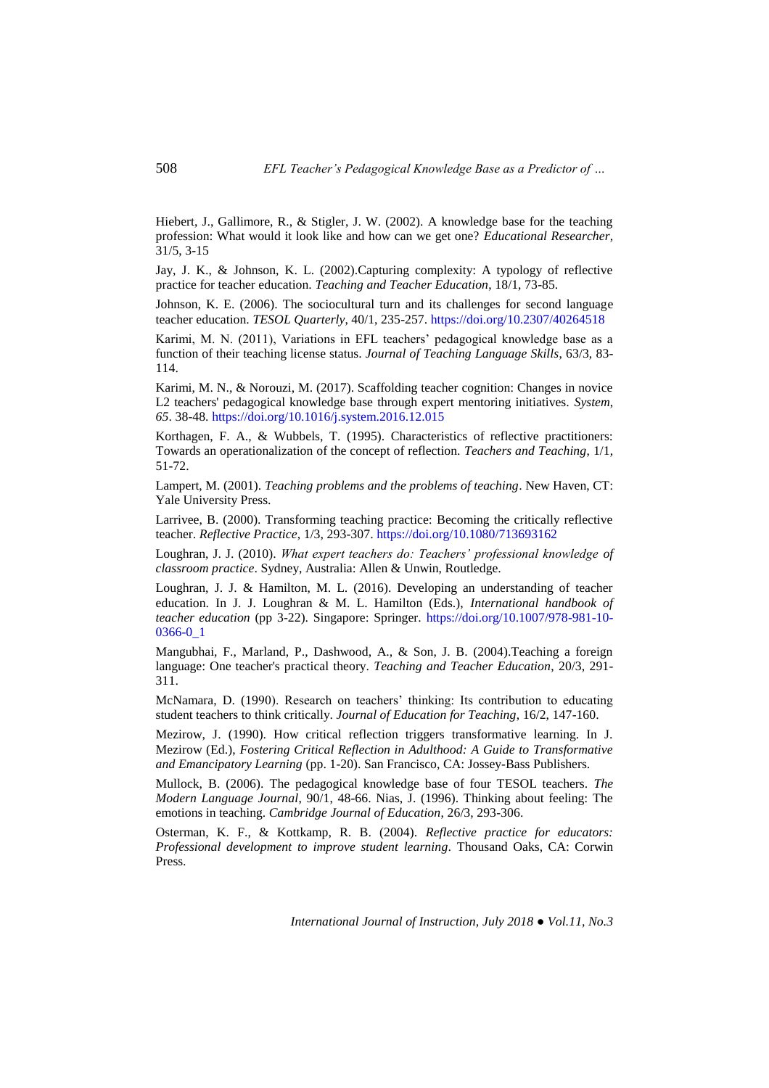Hiebert, J., Gallimore, R., & Stigler, J. W. (2002). A knowledge base for the teaching profession: What would it look like and how can we get one? *Educational Researcher*, 31/5, 3-15

Jay, J. K., & Johnson, K. L. (2002).Capturing complexity: A typology of reflective practice for teacher education. *Teaching and Teacher Education*, 18/1, 73-85.

Johnson, K. E. (2006). The sociocultural turn and its challenges for second language teacher education. *TESOL Quarterly*, 40/1, 235-257. https://doi.org/10.2307/40264518

Karimi, M. N. (2011), Variations in EFL teachers' pedagogical knowledge base as a function of their teaching license status. *Journal of Teaching Language Skills*, 63/3, 83- 114.

Karimi, M. N., & Norouzi, M. (2017). Scaffolding teacher cognition: Changes in novice L2 teachers' pedagogical knowledge base through expert mentoring initiatives. *System*, *65*. 38-48. https://doi.org/10.1016/j.system.2016.12.015

Korthagen, F. A., & Wubbels, T. (1995). Characteristics of reflective practitioners: Towards an operationalization of the concept of reflection. *Teachers and Teaching*, 1/1, 51-72.

Lampert, M. (2001). *Teaching problems and the problems of teaching*. New Haven, CT: Yale University Press.

Larrivee, B. (2000). Transforming teaching practice: Becoming the critically reflective teacher. *Reflective Practice*, 1/3, 293-307. https://doi.org/10.1080/713693162

Loughran, J. J. (2010). *What expert teachers do: Teachers' professional knowledge of classroom practice*. Sydney, Australia: Allen & Unwin, Routledge.

Loughran, J. J. & Hamilton, M. L. (2016). Developing an understanding of teacher education. In J. J. Loughran & M. L. Hamilton (Eds.), *International handbook of teacher education* (pp 3-22). Singapore: Springer. https://doi.org/10.1007/978-981-10- 0366-0\_1

Mangubhai, F., Marland, P., Dashwood, A., & Son, J. B. (2004).Teaching a foreign language: One teacher's practical theory. *Teaching and Teacher Education*, 20/3, 291- 311.

McNamara, D. (1990). Research on teachers' thinking: Its contribution to educating student teachers to think critically. *Journal of Education for Teaching*, 16/2, 147-160.

Mezirow, J. (1990). How critical reflection triggers transformative learning. In J. Mezirow (Ed.), *Fostering Critical Reflection in Adulthood: A Guide to Transformative and Emancipatory Learning* (pp. 1-20). San Francisco, CA: Jossey-Bass Publishers.

Mullock, B. (2006). The pedagogical knowledge base of four TESOL teachers. *The Modern Language Journal*, 90/1, 48-66. Nias, J. (1996). Thinking about feeling: The emotions in teaching. *Cambridge Journal of Education*, 26/3, 293-306.

Osterman, K. F., & Kottkamp, R. B. (2004). *Reflective practice for educators: Professional development to improve student learning*. Thousand Oaks, CA: Corwin Press.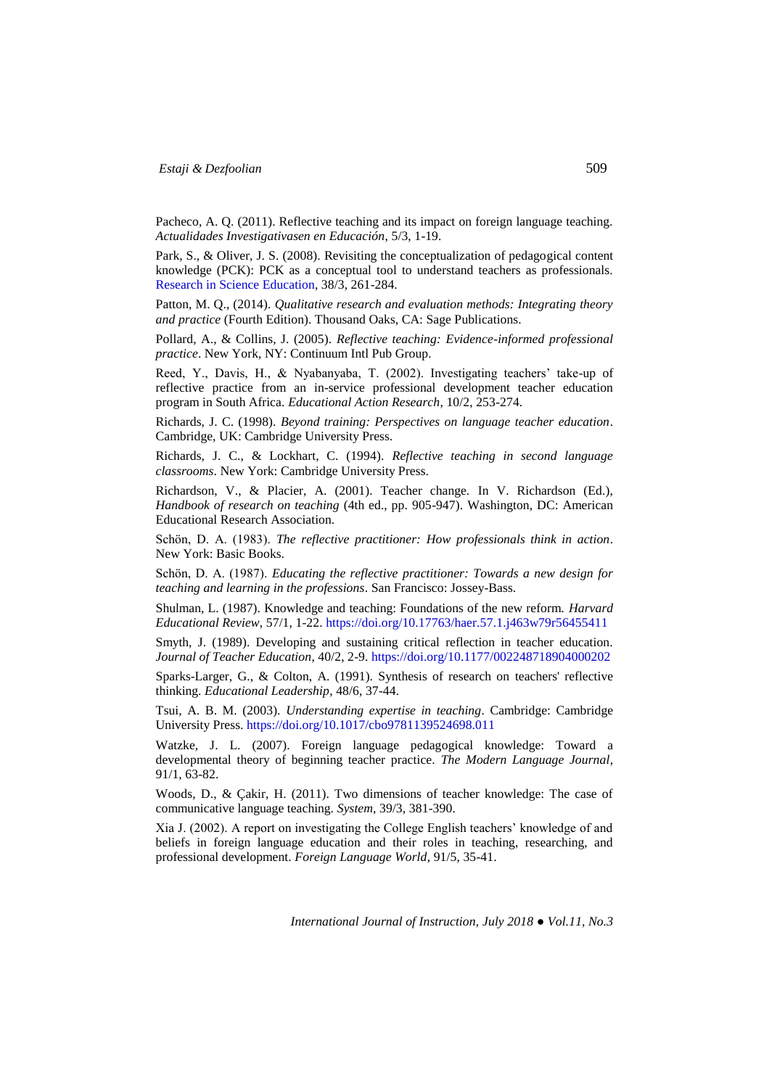Pacheco, A. Q. (2011). Reflective teaching and its impact on foreign language teaching. *Actualidades Investigativasen en Educación*, 5/3, 1-19.

Park, S., & Oliver, J. S. (2008). Revisiting the conceptualization of pedagogical content knowledge (PCK): PCK as a conceptual tool to understand teachers as professionals. Research in Science Education, 38/3, 261-284.

Patton, M. Q., (2014). *Qualitative research and evaluation methods: Integrating theory and practice* (Fourth Edition). Thousand Oaks, CA: Sage Publications.

Pollard, A., & Collins, J. (2005). *Reflective teaching: Evidence-informed professional practice*. New York, NY: Continuum Intl Pub Group.

Reed, Y., Davis, H., & Nyabanyaba, T. (2002). Investigating teachers' take-up of reflective practice from an in-service professional development teacher education program in South Africa. *Educational Action Research*, 10/2, 253-274.

Richards, J. C. (1998). *Beyond training: Perspectives on language teacher education*. Cambridge, UK: Cambridge University Press.

Richards, J. C., & Lockhart, C. (1994). *Reflective teaching in second language classrooms*. New York: Cambridge University Press.

Richardson, V., & Placier, A. (2001). Teacher change. In V. Richardson (Ed.), *Handbook of research on teaching* (4th ed., pp. 905-947). Washington, DC: American Educational Research Association.

Schön, D. A. (1983). *The reflective practitioner: How professionals think in action*. New York: Basic Books.

Schön, D. A. (1987). *Educating the reflective practitioner: Towards a new design for teaching and learning in the professions*. San Francisco: Jossey-Bass.

Shulman, L. (1987). Knowledge and teaching: Foundations of the new reform. *Harvard Educational Review*, 57/1, 1-22. https://doi.org/10.17763/haer.57.1.j463w79r56455411

Smyth, J. (1989). Developing and sustaining critical reflection in teacher education. *Journal of Teacher Education*, 40/2, 2-9. https://doi.org/10.1177/002248718904000202

Sparks-Larger, G., & Colton, A. (1991). Synthesis of research on teachers' reflective thinking. *Educational Leadership*, 48/6, 37-44.

Tsui, A. B. M. (2003). *Understanding expertise in teaching*. Cambridge: Cambridge University Press. https://doi.org/10.1017/cbo9781139524698.011

Watzke, J. L. (2007). Foreign language pedagogical knowledge: Toward a developmental theory of beginning teacher practice. *The Modern Language Journal*, 91/1, 63-82.

Woods, D., & Çakir, H. (2011). Two dimensions of teacher knowledge: The case of communicative language teaching. *System*, 39/3, 381-390.

Xia J. (2002). A report on investigating the College English teachers' knowledge of and beliefs in foreign language education and their roles in teaching, researching, and professional development. *Foreign Language World*, 91/5, 35-41.